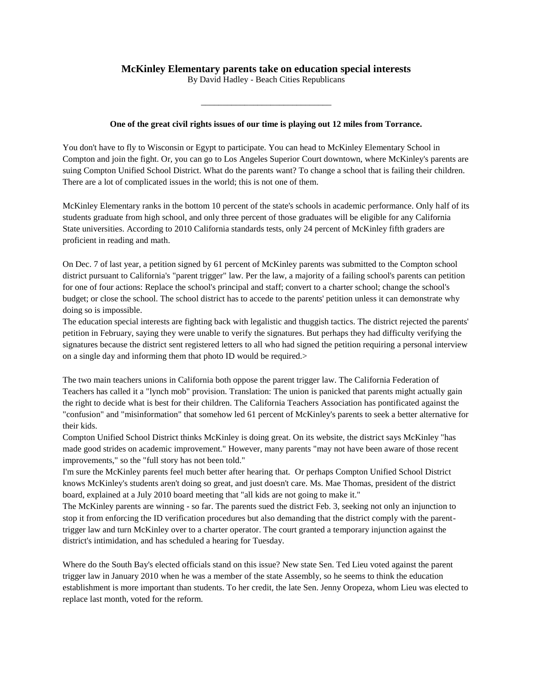## **McKinley Elementary parents take on education special interests**

By David Hadley - Beach Cities Republicans

\_\_\_\_\_\_\_\_\_\_\_\_\_\_\_\_\_\_\_\_\_\_\_\_\_\_\_\_\_\_

## **One of the great civil rights issues of our time is playing out 12 miles from Torrance.**

You don't have to fly to Wisconsin or Egypt to participate. You can head to McKinley Elementary School in Compton and join the fight. Or, you can go to Los Angeles Superior Court downtown, where McKinley's parents are suing Compton Unified School District. What do the parents want? To change a school that is failing their children. There are a lot of complicated issues in the world; this is not one of them.

McKinley Elementary ranks in the bottom 10 percent of the state's schools in academic performance. Only half of its students graduate from high school, and only three percent of those graduates will be eligible for any California State universities. According to 2010 California standards tests, only 24 percent of McKinley fifth graders are proficient in reading and math.

On Dec. 7 of last year, a petition signed by 61 percent of McKinley parents was submitted to the Compton school district pursuant to California's "parent trigger" law. Per the law, a majority of a failing school's parents can petition for one of four actions: Replace the school's principal and staff; convert to a charter school; change the school's budget; or close the school. The school district has to accede to the parents' petition unless it can demonstrate why doing so is impossible.

The education special interests are fighting back with legalistic and thuggish tactics. The district rejected the parents' petition in February, saying they were unable to verify the signatures. But perhaps they had difficulty verifying the signatures because the district sent registered letters to all who had signed the petition requiring a personal interview on a single day and informing them that photo ID would be required.>

The two main teachers unions in California both oppose the parent trigger law. The California Federation of Teachers has called it a "lynch mob" provision. Translation: The union is panicked that parents might actually gain the right to decide what is best for their children. The California Teachers Association has pontificated against the "confusion" and "misinformation" that somehow led 61 percent of McKinley's parents to seek a better alternative for their kids.

Compton Unified School District thinks McKinley is doing great. On its website, the district says McKinley "has made good strides on academic improvement." However, many parents "may not have been aware of those recent improvements," so the "full story has not been told."

I'm sure the McKinley parents feel much better after hearing that. Or perhaps Compton Unified School District knows McKinley's students aren't doing so great, and just doesn't care. Ms. Mae Thomas, president of the district board, explained at a July 2010 board meeting that "all kids are not going to make it."

The McKinley parents are winning - so far. The parents sued the district Feb. 3, seeking not only an injunction to stop it from enforcing the ID verification procedures but also demanding that the district comply with the parenttrigger law and turn McKinley over to a charter operator. The court granted a temporary injunction against the district's intimidation, and has scheduled a hearing for Tuesday.

Where do the South Bay's elected officials stand on this issue? New state Sen. Ted Lieu voted against the parent trigger law in January 2010 when he was a member of the state Assembly, so he seems to think the education establishment is more important than students. To her credit, the late Sen. Jenny Oropeza, whom Lieu was elected to replace last month, voted for the reform.